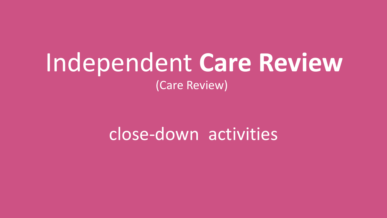# Independent **Care Review** (Care Review)

# close-down activities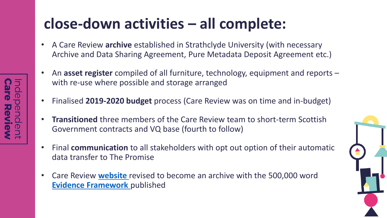### **close-down activities – all complete:**

- A Care Review **archive** established in Strathclyde University (with necessary Archive and Data Sharing Agreement, Pure Metadata Deposit Agreement etc.)
- An **asset register** compiled of all furniture, technology, equipment and reports with re-use where possible and storage arranged
- Finalised **2019-2020 budget** process (Care Review was on time and in-budget)
- **Transitioned** three members of the Care Review team to short-term Scottish Government contracts and VQ base (fourth to follow)
- Final **communication** to all stakeholders with opt out option of their automatic data transfer to The Promise
- Care Review **[website](http://www.carereview.scot/)** revised to become an archive with the 500,000 word **[Evidence Framework](https://www.carereview.scot/wp-content/uploads/2020/06/Final-evidence-framework_v2.pdf)** published

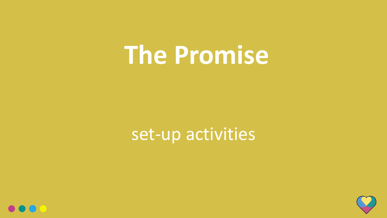# **The Promise**

# set-up activities



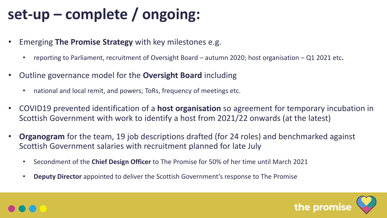## **set-up – complete / ongoing:**

- Emerging **The Promise Strategy** with key milestones e.g.
	- reporting to Parliament, recruitment of Oversight Board autumn 2020; host organisation Q1 2021 etc**.**
- Outline governance model for the **Oversight Board** including
	- national and local remit, and powers; ToRs, frequency of meetings etc.
- COVID19 prevented identification of a **host organisation** so agreement for temporary incubation in Scottish Government with work to identify a host from 2021/22 onwards (at the latest)
- **Organogram** for the team, 19 job descriptions drafted (for 24 roles) and benchmarked against Scottish Government salaries with recruitment planned for late July
	- Secondment of the **Chief Design Officer** to The Promise for 50% of her time until March 2021
	- **Deputy Director** appointed to deliver the Scottish Government's response to The Promise



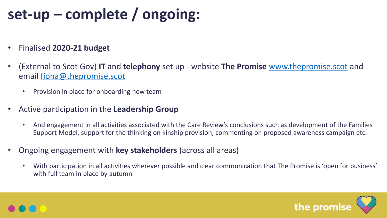## **set-up – complete / ongoing:**

- Finalised **2020-21 budget**
- (External to Scot Gov) **IT** and **telephony** set up website **The Promise** [www.thepromise.scot](http://www.thepromise.scot/) and email [fiona@thepromise.scot](mailto:fiona@thepromise.scot)
	- Provision in place for onboarding new team
- Active participation in the **Leadership Group**
	- And engagement in all activities associated with the Care Review's conclusions such as development of the Families Support Model, support for the thinking on kinship provision, commenting on proposed awareness campaign etc.
- Ongoing engagement with **key stakeholders** (across all areas)
	- With participation in all activities wherever possible and clear communication that The Promise is 'open for business' with full team in place by autumn



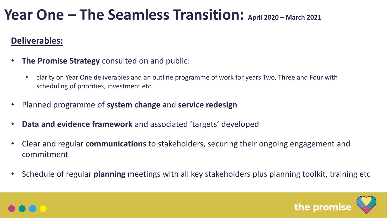#### **Deliverables:**

- **The Promise Strategy** consulted on and public:
	- clarity on Year One deliverables and an outline programme of work for years Two, Three and Four with scheduling of priorities, investment etc.
- Planned programme of **system change** and **service redesign**
- **Data and evidence framework** and associated 'targets' developed
- Clear and regular **communications** to stakeholders, securing their ongoing engagement and commitment
- Schedule of regular **planning** meetings with all key stakeholders plus planning toolkit, training etc



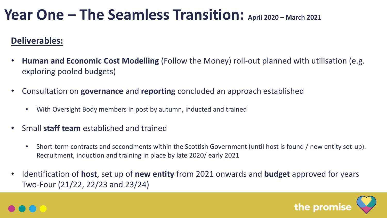#### **Deliverables:**

- **Human and Economic Cost Modelling** (Follow the Money) roll-out planned with utilisation (e.g. exploring pooled budgets)
- Consultation on **governance** and **reporting** concluded an approach established
	- With Oversight Body members in post by autumn, inducted and trained
- Small **staff team** established and trained
	- Short-term contracts and secondments within the Scottish Government (until host is found / new entity set-up). Recruitment, induction and training in place by late 2020/ early 2021
- Identification of **host**, set up of **new entity** from 2021 onwards and **budget** approved for years Two-Four (21/22, 22/23 and 23/24)



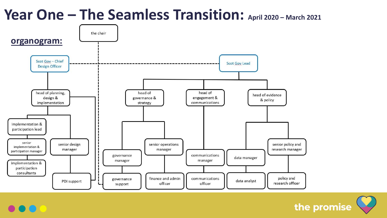

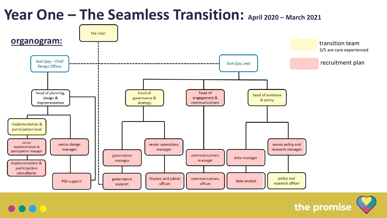

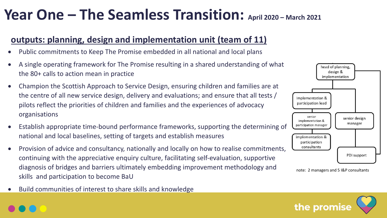#### **outputs: planning, design and implementation unit (team of 11)**

- Public commitments to Keep The Promise embedded in all national and local plans
- A single operating framework for The Promise resulting in a shared understanding of what the 80+ calls to action mean in practice
- Champion the Scottish Approach to Service Design, ensuring children and families are at the centre of all new service design, delivery and evaluations; and ensure that all tests / pilots reflect the priorities of children and families and the experiences of advocacy organisations
- Establish appropriate time-bound performance frameworks, supporting the determining of national and local baselines, setting of targets and establish measures
- Provision of advice and consultancy, nationally and locally on how to realise commitments, continuing with the appreciative enquiry culture, facilitating self-evaluation, supportive diagnosis of bridges and barriers ultimately embedding improvement methodology and skills and participation to become BaU
- Build communities of interest to share skills and knowledge



note: 2 managers and 5 I&P consultants

the promis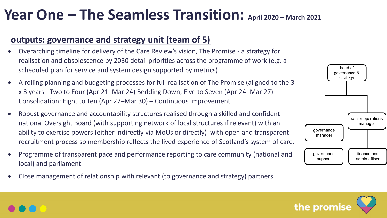#### **outputs: governance and strategy unit (team of 5)**

- Overarching timeline for delivery of the Care Review's vision, The Promise a strategy for realisation and obsolescence by 2030 detail priorities across the programme of work (e.g. a scheduled plan for service and system design supported by metrics)
- A rolling planning and budgeting processes for full realisation of The Promise (aligned to the 3 x 3 years - Two to Four (Apr 21–Mar 24) Bedding Down; Five to Seven (Apr 24–Mar 27) Consolidation; Eight to Ten (Apr 27–Mar 30) – Continuous Improvement
- Robust governance and accountability structures realised through a skilled and confident national Oversight Board (with supporting network of local structures if relevant) with an ability to exercise powers (either indirectly via MoUs or directly) with open and transparent recruitment process so membership reflects the lived experience of Scotland's system of care.
- Programme of transparent pace and performance reporting to care community (national and local) and parliament
- Close management of relationship with relevant (to governance and strategy) partners





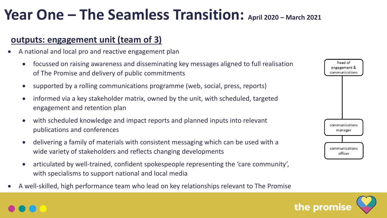#### **outputs: engagement unit (team of 3)**

- A national and local pro and reactive engagement plan
	- focussed on raising awareness and disseminating key messages aligned to full realisation of The Promise and delivery of public commitments
	- supported by a rolling communications programme (web, social, press, reports)
	- informed via a key stakeholder matrix, owned by the unit, with scheduled, targeted engagement and retention plan
	- with scheduled knowledge and impact reports and planned inputs into relevant publications and conferences
	- delivering a family of materials with consistent messaging which can be used with a wide variety of stakeholders and reflects changing developments
	- articulated by well-trained, confident spokespeople representing the 'care community', with specialisms to support national and local media
- A well-skilled, high performance team who lead on key relationships relevant to The Promise



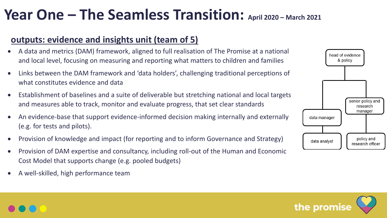#### **outputs: evidence and insights unit (team of 5)**

- A data and metrics (DAM) framework, aligned to full realisation of The Promise at a national and local level, focusing on measuring and reporting what matters to children and families
- Links between the DAM framework and 'data holders', challenging traditional perceptions of what constitutes evidence and data
- Establishment of baselines and a suite of deliverable but stretching national and local targets and measures able to track, monitor and evaluate progress, that set clear standards
- An evidence-base that support evidence-informed decision making internally and externally (e.g. for tests and pilots).
- Provision of knowledge and impact (for reporting and to inform Governance and Strategy)
- Provision of DAM expertise and consultancy, including roll-out of the Human and Economic Cost Model that supports change (e.g. pooled budgets)
- A well-skilled, high performance team



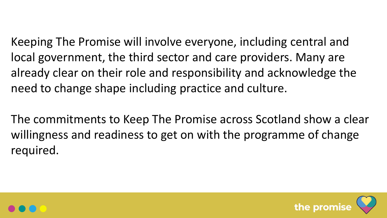Keeping The Promise will involve everyone, including central and local government, the third sector and care providers. Many are already clear on their role and responsibility and acknowledge the need to change shape including practice and culture.

The commitments to Keep The Promise across Scotland show a clear willingness and readiness to get on with the programme of change required.



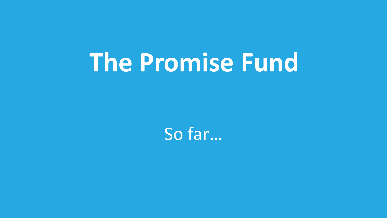So far…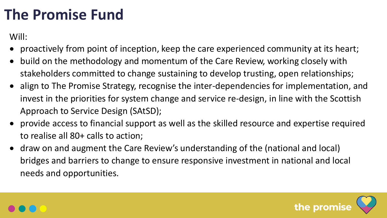Will:

- proactively from point of inception, keep the care experienced community at its heart;
- build on the methodology and momentum of the Care Review, working closely with stakeholders committed to change sustaining to develop trusting, open relationships;
- align to The Promise Strategy, recognise the inter-dependencies for implementation, and invest in the priorities for system change and service re-design, in line with the Scottish Approach to Service Design (SAtSD);
- provide access to financial support as well as the skilled resource and expertise required to realise all 80+ calls to action;
- draw on and augment the Care Review's understanding of the (national and local) bridges and barriers to change to ensure responsive investment in national and local needs and opportunities.



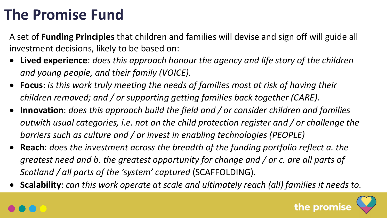A set of **Funding Principles** that children and families will devise and sign off will guide all investment decisions, likely to be based on:

- **Lived experience**: *does this approach honour the agency and life story of the children and young people, and their family (VOICE).*
- **Focus**: *is this work truly meeting the needs of families most at risk of having their children removed; and / or supporting getting families back together (CARE).*
- **Innovation**: *does this approach build the field and / or consider children and families outwith usual categories, i.e. not on the child protection register and / or challenge the barriers such as culture and / or invest in enabling technologies (PEOPLE)*
- **Reach**: *does the investment across the breadth of the funding portfolio reflect a. the greatest need and b. the greatest opportunity for change and / or c. are all parts of Scotland / all parts of the 'system' captured* (SCAFFOLDING)*.*
- **Scalability**: *can this work operate at scale and ultimately reach (all) families it needs to.*

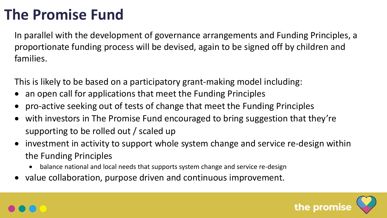In parallel with the development of governance arrangements and Funding Principles, a proportionate funding process will be devised, again to be signed off by children and families.

This is likely to be based on a participatory grant-making model including:

- an open call for applications that meet the Funding Principles
- pro-active seeking out of tests of change that meet the Funding Principles
- with investors in The Promise Fund encouraged to bring suggestion that they're supporting to be rolled out / scaled up
- investment in activity to support whole system change and service re-design within the Funding Principles
	- balance national and local needs that supports system change and service re-design
- value collaboration, purpose driven and continuous improvement.

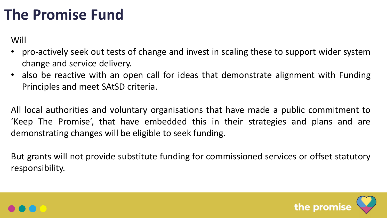Will

- pro-actively seek out tests of change and invest in scaling these to support wider system change and service delivery.
- also be reactive with an open call for ideas that demonstrate alignment with Funding Principles and meet SAtSD criteria.

All local authorities and voluntary organisations that have made a public commitment to 'Keep The Promise', that have embedded this in their strategies and plans and are demonstrating changes will be eligible to seek funding.

But grants will not provide substitute funding for commissioned services or offset statutory responsibility.